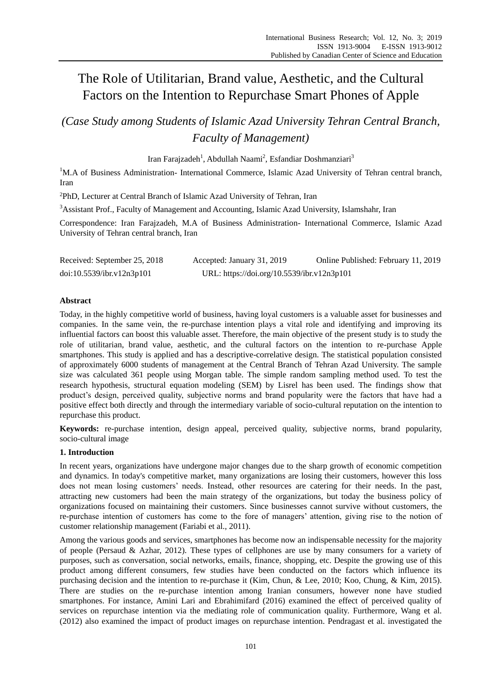# The Role of Utilitarian, Brand value, Aesthetic, and the Cultural Factors on the Intention to Repurchase Smart Phones of Apple

*(Case Study among Students of Islamic Azad University Tehran Central Branch, Faculty of Management)*

Iran Farajzadeh<sup>1</sup>, Abdullah Naami<sup>2</sup>, Esfandiar Doshmanziari<sup>3</sup>

<sup>1</sup>M.A of Business Administration- International Commerce, Islamic Azad University of Tehran central branch, Iran

<sup>2</sup>PhD, Lecturer at Central Branch of Islamic Azad University of Tehran, Iran

<sup>3</sup>Assistant Prof., Faculty of Management and Accounting, Islamic Azad University, Islamshahr, Iran

Correspondence: Iran Farajzadeh, M.A of Business Administration- International Commerce, Islamic Azad University of Tehran central branch, Iran

| Received: September 25, 2018 | Accepted: January 31, 2019                 | Online Published: February 11, 2019 |
|------------------------------|--------------------------------------------|-------------------------------------|
| doi:10.5539/ibr.v12n3p101    | URL: https://doi.org/10.5539/ibr.v12n3p101 |                                     |

# **Abstract**

Today, in the highly competitive world of business, having loyal customers is a valuable asset for businesses and companies. In the same vein, the re-purchase intention plays a vital role and identifying and improving its influential factors can boost this valuable asset. Therefore, the main objective of the present study is to study the role of utilitarian, brand value, aesthetic, and the cultural factors on the intention to re-purchase Apple smartphones. This study is applied and has a descriptive-correlative design. The statistical population consisted of approximately 6000 students of management at the Central Branch of Tehran Azad University. The sample size was calculated 361 people using Morgan table. The simple random sampling method used. To test the research hypothesis, structural equation modeling (SEM) by Lisrel has been used. The findings show that product's design, perceived quality, subjective norms and brand popularity were the factors that have had a positive effect both directly and through the intermediary variable of socio-cultural reputation on the intention to repurchase this product.

**Keywords:** re-purchase intention, design appeal, perceived quality, subjective norms, brand popularity, socio-cultural image

# **1. Introduction**

In recent years, organizations have undergone major changes due to the sharp growth of economic competition and dynamics. In today's competitive market, many organizations are losing their customers, however this loss does not mean losing customers' needs. Instead, other resources are catering for their needs. In the past, attracting new customers had been the main strategy of the organizations, but today the business policy of organizations focused on maintaining their customers. Since businesses cannot survive without customers, the re-purchase intention of customers has come to the fore of managers' attention, giving rise to the notion of customer relationship management (Fariabi et al., 2011).

Among the various goods and services, smartphones has become now an indispensable necessity for the majority of people (Persaud & Azhar, 2012). These types of cellphones are use by many consumers for a variety of purposes, such as conversation, social networks, emails, finance, shopping, etc. Despite the growing use of this product among different consumers, few studies have been conducted on the factors which influence its purchasing decision and the intention to re-purchase it (Kim, Chun, & Lee, 2010; Koo, Chung, & Kim, 2015). There are studies on the re-purchase intention among Iranian consumers, however none have studied smartphones. For instance, Amini Lari and Ebrahimifard (2016) examined the effect of perceived quality of services on repurchase intention via the mediating role of communication quality. Furthermore, Wang et al. (2012) also examined the impact of product images on repurchase intention. Pendragast et al. investigated the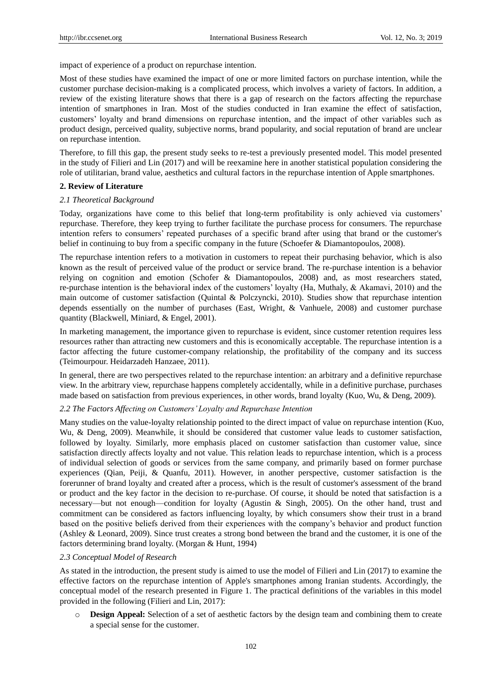impact of experience of a product on repurchase intention.

Most of these studies have examined the impact of one or more limited factors on purchase intention, while the customer purchase decision-making is a complicated process, which involves a variety of factors. In addition, a review of the existing literature shows that there is a gap of research on the factors affecting the repurchase intention of smartphones in Iran. Most of the studies conducted in Iran examine the effect of satisfaction, customers' loyalty and brand dimensions on repurchase intention, and the impact of other variables such as product design, perceived quality, subjective norms, brand popularity, and social reputation of brand are unclear on repurchase intention.

Therefore, to fill this gap, the present study seeks to re-test a previously presented model. This model presented in the study of Filieri and Lin (2017) and will be reexamine here in another statistical population considering the role of utilitarian, brand value, aesthetics and cultural factors in the repurchase intention of Apple smartphones.

## **2. Review of Literature**

#### *2.1 Theoretical Background*

Today, organizations have come to this belief that long-term profitability is only achieved via customers' repurchase. Therefore, they keep trying to further facilitate the purchase process for consumers. The repurchase intention refers to consumers' repeated purchases of a specific brand after using that brand or the customer's belief in continuing to buy from a specific company in the future (Schoefer & Diamantopoulos, 2008).

The repurchase intention refers to a motivation in customers to repeat their purchasing behavior, which is also known as the result of perceived value of the product or service brand. The re-purchase intention is a behavior relying on cognition and emotion (Schofer & Diamantopoulos, 2008) and, as most researchers stated, re-purchase intention is the behavioral index of the customers' loyalty (Ha, Muthaly, & Akamavi, 2010) and the main outcome of customer satisfaction (Quintal & Polczyncki, 2010). Studies show that repurchase intention depends essentially on the number of purchases (East, Wright, & Vanhuele, 2008) and customer purchase quantity (Blackwell, Miniard, & Engel, 2001).

In marketing management, the importance given to repurchase is evident, since customer retention requires less resources rather than attracting new customers and this is economically acceptable. The repurchase intention is a factor affecting the future customer-company relationship, the profitability of the company and its success (Teimourpour. Heidarzadeh Hanzaee, 2011).

In general, there are two perspectives related to the repurchase intention: an arbitrary and a definitive repurchase view. In the arbitrary view, repurchase happens completely accidentally, while in a definitive purchase, purchases made based on satisfaction from previous experiences, in other words, brand loyalty (Kuo, Wu, & Deng, 2009).

#### *2.2 The Factors Affecting on Customers' Loyalty and Repurchase Intention*

Many studies on the value-loyalty relationship pointed to the direct impact of value on repurchase intention (Kuo, Wu, & Deng, 2009). Meanwhile, it should be considered that customer value leads to customer satisfaction, followed by loyalty. Similarly, more emphasis placed on customer satisfaction than customer value, since satisfaction directly affects loyalty and not value. This relation leads to repurchase intention, which is a process of individual selection of goods or services from the same company, and primarily based on former purchase experiences (Qian, Peiji, & Quanfu, 2011). However, in another perspective, customer satisfaction is the forerunner of brand loyalty and created after a process, which is the result of customer's assessment of the brand or product and the key factor in the decision to re-purchase. Of course, it should be noted that satisfaction is a necessary—but not enough—condition for loyalty (Agustin & Singh, 2005). On the other hand, trust and commitment can be considered as factors influencing loyalty, by which consumers show their trust in a brand based on the positive beliefs derived from their experiences with the company's behavior and product function (Ashley & Leonard, 2009). Since trust creates a strong bond between the brand and the customer, it is one of the factors determining brand loyalty. (Morgan & Hunt, 1994)

#### *2.3 Conceptual Model of Research*

As stated in the introduction, the present study is aimed to use the model of Filieri and Lin (2017) to examine the effective factors on the repurchase intention of Apple's smartphones among Iranian students. Accordingly, the conceptual model of the research presented in Figure 1. The practical definitions of the variables in this model provided in the following (Filieri and Lin, 2017):

o **Design Appeal:** Selection of a set of aesthetic factors by the design team and combining them to create a special sense for the customer.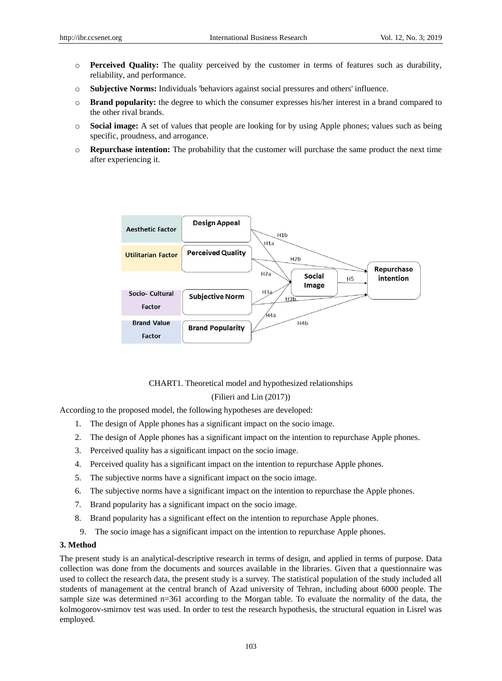- o **Perceived Quality:** The quality perceived by the customer in terms of features such as durability, reliability, and performance.
- o **Subjective Norms:** Individuals 'behaviors against social pressures and others' influence.
- o **Brand popularity:** the degree to which the consumer expresses his/her interest in a brand compared to the other rival brands.
- o **Social image:** A set of values that people are looking for by using Apple phones; values such as being specific, proudness, and arrogance.
- o **Repurchase intention:** The probability that the customer will purchase the same product the next time after experiencing it.



CHART1. Theoretical model and hypothesized relationships

#### (Filieri and Lin (2017))

According to the proposed model, the following hypotheses are developed:

- 1. The design of Apple phones has a significant impact on the socio image.
- 2. The design of Apple phones has a significant impact on the intention to repurchase Apple phones.
- 3. Perceived quality has a significant impact on the socio image.
- 4. Perceived quality has a significant impact on the intention to repurchase Apple phones.
- 5. The subjective norms have a significant impact on the socio image.
- 6. The subjective norms have a significant impact on the intention to repurchase the Apple phones.
- 7. Brand popularity has a significant impact on the socio image.
- 8. Brand popularity has a significant effect on the intention to repurchase Apple phones.
- 9. The socio image has a significant impact on the intention to repurchase Apple phones.

## **3. Method**

The present study is an analytical-descriptive research in terms of design, and applied in terms of purpose. Data collection was done from the documents and sources available in the libraries. Given that a questionnaire was used to collect the research data, the present study is a survey. The statistical population of the study included all students of management at the central branch of Azad university of Tehran, including about 6000 people. The sample size was determined n=361 according to the Morgan table. To evaluate the normality of the data, the kolmogorov-smirnov test was used. In order to test the research hypothesis, the structural equation in Lisrel was employed.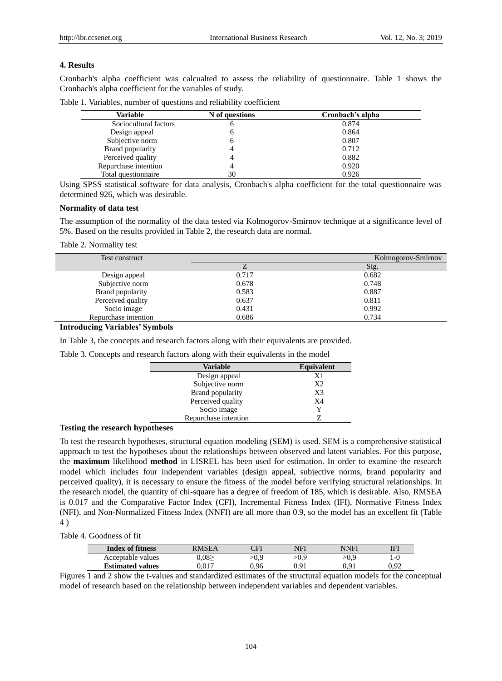# **4. Results**

Cronbach's alpha coefficient was calcualted to assess the reliability of questionnaire. Table 1 shows the Cronbach's alpha coefficient for the variables of study.

|  |  |  |  |  |  |  | Table 1. Variables, number of questions and reliability coefficient |
|--|--|--|--|--|--|--|---------------------------------------------------------------------|
|--|--|--|--|--|--|--|---------------------------------------------------------------------|

| Variable              | N of questions | Cronbach's alpha |
|-----------------------|----------------|------------------|
| Sociocultural factors | o              | 0.874            |
| Design appeal         | 6              | 0.864            |
| Subjective norm       | h              | 0.807            |
| Brand popularity      |                | 0.712            |
| Perceived quality     |                | 0.882            |
| Repurchase intention  |                | 0.920            |
| Total questionnaire   | 30             | 0.926            |

Using SPSS statistical software for data analysis, Cronbach's alpha coefficient for the total questionnaire was determined 926, which was desirable.

## **Normality of data test**

The assumption of the normality of the data tested via Kolmogorov-Smirnov technique at a significance level of 5%. Based on the results provided in Table 2, the research data are normal.

Table 2. Normality test

| Test construct       |       | Kolmogorov-Smirnov |
|----------------------|-------|--------------------|
|                      |       | Sig.               |
| Design appeal        | 0.717 | 0.682              |
| Subjective norm      | 0.678 | 0.748              |
| Brand popularity     | 0.583 | 0.887              |
| Perceived quality    | 0.637 | 0.811              |
| Socio image          | 0.431 | 0.992              |
| Repurchase intention | 0.686 | 0.734              |

# **Introducing Variables' Symbols**

In Table 3, the concepts and research factors along with their equivalents are provided.

Table 3. Concepts and research factors along with their equivalents in the model

| <b>Variable</b>      | <b>Equivalent</b> |
|----------------------|-------------------|
| Design appeal        | X1                |
| Subjective norm      | X <sub>2</sub>    |
| Brand popularity     | X <sub>3</sub>    |
| Perceived quality    | X <sub>4</sub>    |
| Socio image          | Y                 |
| Repurchase intention |                   |

# **Testing the research hypotheses**

To test the research hypotheses, structural equation modeling (SEM) is used. SEM is a comprehensive statistical approach to test the hypotheses about the relationships between observed and latent variables. For this purpose, the **maximum** likelihood **method** in LISREL has been used for estimation. In order to examine the research model which includes four independent variables (design appeal, subjective norms, brand popularity and perceived quality), it is necessary to ensure the fitness of the model before verifying structural relationships. In the research model, the quantity of chi-square has a degree of freedom of 185, which is desirable. Also, RMSEA is 0.017 and the Comparative Factor Index (CFI), Incremental Fitness Index (IFI), Normative Fitness Index (NFI), and Non-Normalized Fitness Index (NNFI) are all more than 0.9, so the model has an excellent fit (Table 4 )

# Table 4. Goodness of fit

| <b>Index of fitness</b> | RMSEA | וחר  | NFI  | <b>NNFI</b> | IFI  |
|-------------------------|-------|------|------|-------------|------|
| Acceptable values       | 0.082 | >0.9 | >0.9 | 0.9ء        | l-C  |
| <b>Estimated values</b> | 0.017 | ).96 | N 91 | 01 (        | 0.92 |

Figures 1 and 2 show the t-values and standardized estimates of the structural equation models for the conceptual model of research based on the relationship between independent variables and dependent variables.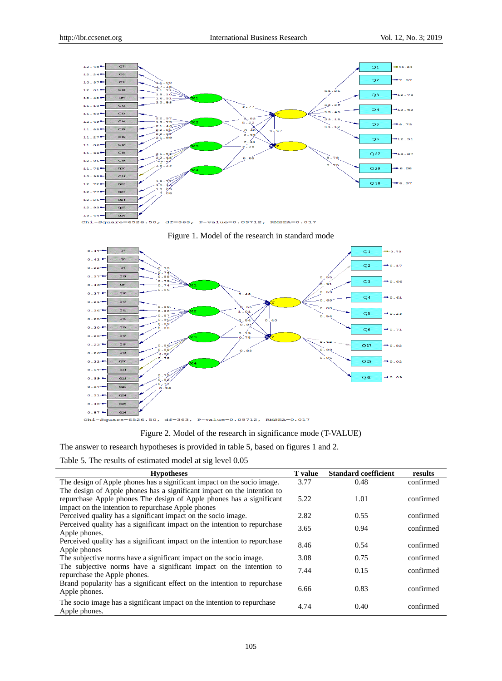





Figure 2. Model of the research in significance mode (T-VALUE)

The answer to research hypotheses is provided in table 5, based on figures 1 and 2.

Table 5. The results of estimated model at sig level 0.05

| <b>Hypotheses</b>                                                         | <b>T</b> value | <b>Standard coefficient</b> | results   |
|---------------------------------------------------------------------------|----------------|-----------------------------|-----------|
| The design of Apple phones has a significant impact on the socio image.   | 3.77           | 0.48                        | confirmed |
| The design of Apple phones has a significant impact on the intention to   |                |                             |           |
| repurchase Apple phones The design of Apple phones has a significant      | 5.22           | 1.01                        | confirmed |
| impact on the intention to repurchase Apple phones                        |                |                             |           |
| Perceived quality has a significant impact on the socio image.            | 2.82           | 0.55                        | confirmed |
| Perceived quality has a significant impact on the intention to repurchase | 3.65           | 0.94                        | confirmed |
| Apple phones.                                                             |                |                             |           |
| Perceived quality has a significant impact on the intention to repurchase | 8.46           | 0.54                        | confirmed |
| Apple phones                                                              |                |                             |           |
| The subjective norms have a significant impact on the socio image.        | 3.08           | 0.75                        | confirmed |
| The subjective norms have a significant impact on the intention to        | 7.44           | 0.15                        | confirmed |
| repurchase the Apple phones.                                              |                |                             |           |
| Brand popularity has a significant effect on the intention to repurchase  | 6.66           | 0.83                        | confirmed |
| Apple phones.                                                             |                |                             |           |
| The socio image has a significant impact on the intention to repurchase   |                |                             |           |
| Apple phones.                                                             | 4.74           | 0.40                        | confirmed |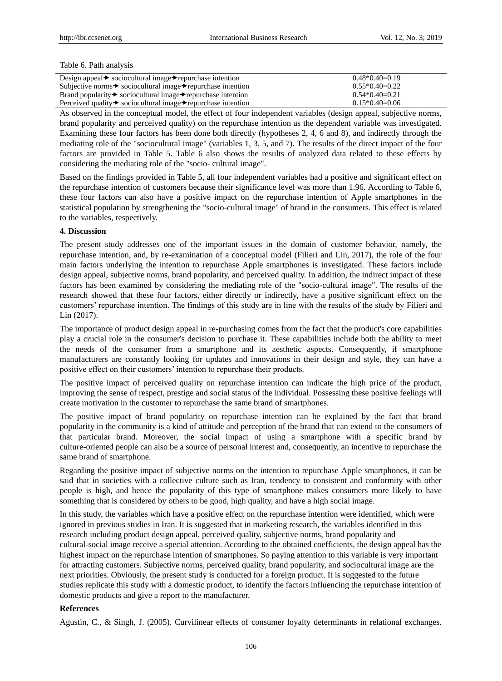#### Table 6. Path analysis

| Design appeal $\blacktriangleright$ sociocultural image $\blacktriangleright$ repurchase intention | $0.48*0.40=0.19$ |
|----------------------------------------------------------------------------------------------------|------------------|
| Subjective norms $\rightarrow$ sociocultural image $\rightarrow$ repurchase intention              | $0.55*0.40=0.22$ |
| Brand popularity $\rightarrow$ sociocultural image $\rightarrow$ repurchase intention              | $0.54*0.40=0.21$ |
| Perceived quality $\rightarrow$ sociocultural image $\rightarrow$ repurchase intention             | $0.15*0.40=0.06$ |

As observed in the conceptual model, the effect of four independent variables (design appeal, subjective norms, brand popularity and perceived quality) on the repurchase intention as the dependent variable was investigated. Examining these four factors has been done both directly (hypotheses 2, 4, 6 and 8), and indirectly through the mediating role of the "sociocultural image" (variables 1, 3, 5, and 7). The results of the direct impact of the four factors are provided in Table 5. Table 6 also shows the results of analyzed data related to these effects by considering the mediating role of the "socio- cultural image".

Based on the findings provided in Table 5, all four independent variables had a positive and significant effect on the repurchase intention of customers because their significance level was more than 1.96. According to Table 6, these four factors can also have a positive impact on the repurchase intention of Apple smartphones in the statistical population by strengthening the "socio-cultural image" of brand in the consumers. This effect is related to the variables, respectively.

#### **4. Discussion**

The present study addresses one of the important issues in the domain of customer behavior, namely, the repurchase intention, and, by re-examination of a conceptual model (Filieri and Lin, 2017), the role of the four main factors underlying the intention to repurchase Apple smartphones is investigated. These factors include design appeal, subjective norms, brand popularity, and perceived quality. In addition, the indirect impact of these factors has been examined by considering the mediating role of the "socio-cultural image". The results of the research showed that these four factors, either directly or indirectly, have a positive significant effect on the customers' repurchase intention. The findings of this study are in line with the results of the study by Filieri and Lin (2017).

The importance of product design appeal in re-purchasing comes from the fact that the product's core capabilities play a crucial role in the consumer's decision to purchase it. These capabilities include both the ability to meet the needs of the consumer from a smartphone and its aesthetic aspects. Consequently, if smartphone manufacturers are constantly looking for updates and innovations in their design and style, they can have a positive effect on their customers' intention to repurchase their products.

The positive impact of perceived quality on repurchase intention can indicate the high price of the product, improving the sense of respect, prestige and social status of the individual. Possessing these positive feelings will create motivation in the customer to repurchase the same brand of smartphones.

The positive impact of brand popularity on repurchase intention can be explained by the fact that brand popularity in the community is a kind of attitude and perception of the brand that can extend to the consumers of that particular brand. Moreover, the social impact of using a smartphone with a specific brand by culture-oriented people can also be a source of personal interest and, consequently, an incentive to repurchase the same brand of smartphone.

Regarding the positive impact of subjective norms on the intention to repurchase Apple smartphones, it can be said that in societies with a collective culture such as Iran, tendency to consistent and conformity with other people is high, and hence the popularity of this type of smartphone makes consumers more likely to have something that is considered by others to be good, high quality, and have a high social image.

In this study, the variables which have a positive effect on the repurchase intention were identified, which were ignored in previous studies in Iran. It is suggested that in marketing research, the variables identified in this research including product design appeal, perceived quality, subjective norms, brand popularity and cultural-social image receive a special attention. According to the obtained coefficients, the design appeal has the highest impact on the repurchase intention of smartphones. So paying attention to this variable is very important for attracting customers. Subjective norms, perceived quality, brand popularity, and sociocultural image are the next priorities. Obviously, the present study is conducted for a foreign product. It is suggested to the future studies replicate this study with a domestic product, to identify the factors influencing the repurchase intention of domestic products and give a report to the manufacturer.

## **References**

Agustin, C., & Singh, J. (2005). Curvilinear effects of consumer loyalty determinants in relational exchanges.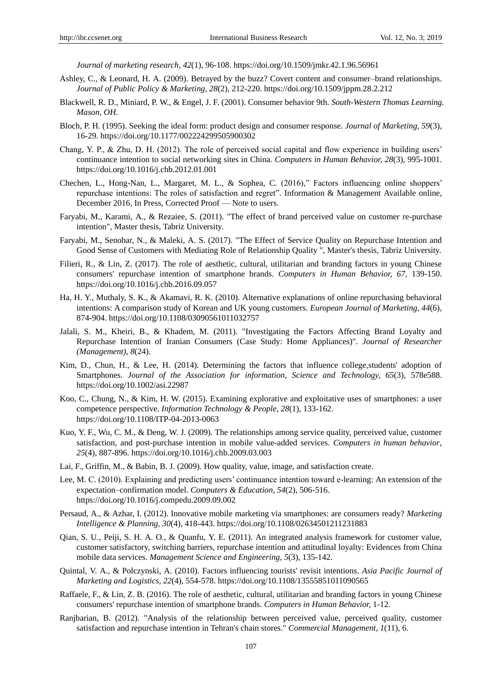*Journal of marketing research*, *42*(1), 96-108. https://doi.org/10.1509/jmkr.42.1.96.56961

- Ashley, C., & Leonard, H. A. (2009). Betrayed by the buzz? Covert content and consumer–brand relationships. *Journal of Public Policy & Marketing*, *28*(2), 212-220. https://doi.org/10.1509/jppm.28.2.212
- Blackwell, R. D., Miniard, P. W., & Engel, J. F. (2001). Consumer behavior 9th. *South-Western Thomas Learning. Mason, OH*.
- Bloch, P. H. (1995). Seeking the ideal form: product design and consumer response. *Journal of Marketing, 59*(3), 16-29. https://doi.org/10.1177/002224299505900302
- Chang, Y. P., & Zhu, D. H. (2012). The role of perceived social capital and flow experience in building users' continuance intention to social networking sites in China. *Computers in Human Behavior, 28*(3), 995-1001. https://doi.org/10.1016/j.chb.2012.01.001
- [Chechen,](http://www.sciencedirect.com/science/article/pii/S0378720616304165) L., [Hong-Nan,](http://www.sciencedirect.com/science/article/pii/S0378720616304165) L., [Margaret,](http://www.sciencedirect.com/science/article/pii/S0378720616304165) M. L., & [Sophea,](http://www.sciencedirect.com/science/article/pii/S0378720616304165) C. (2016),‖ Factors influencing online shoppers' repurchase intentions: The roles of satisfaction and regret". [Information & Management](http://www.sciencedirect.com/science/journal/03787206) Available online, December 2016, [In Press, Corrected Proof](http://www.sciencedirect.com/science/journal/aip/03787206) — [Note to users.](http://www.sciencedirect.com/science/article/pii/S0378720616304165#FCANote)
- Faryabi, M., Karami, A., & Rezaiee, S. (2011). "The effect of brand perceived value on customer re-purchase intention", Master thesis, Tabriz University.
- Faryabi, M., Senobar, N., & Maleki, A. S. (2017). "The Effect of Service Quality on Repurchase Intention and Good Sense of Customers with Mediating Role of Relationship Quality ", Master's thesis, Tabriz University.
- Filieri, R., & Lin, Z. (2017). The role of aesthetic, cultural, utilitarian and branding factors in young Chinese consumers' repurchase intention of smartphone brands. *Computers in Human Behavior, 67,* 139-150. https://doi.org/10.1016/j.chb.2016.09.057
- Ha, H. Y., Muthaly, S. K., & Akamavi, R. K. (2010). Alternative explanations of online repurchasing behavioral intentions: A comparison study of Korean and UK young customers. *European Journal of Marketing*, *44*(6), 874-904. https://doi.org/10.1108/03090561011032757
- Jalali, S. M., Kheiri, B., & Khadem, M. (2011). "Investigating the Factors Affecting Brand Loyalty and Repurchase Intention of Iranian Consumers (Case Study: Home Appliances)". *Journal of Researcher (Management), 8*(24).
- Kim, D., Chun, H., & Lee, H. (2014). Determining the factors that influence college,students' adoption of Smartphones. *Journal of the Association for information, Science and Technology, 65*(3), 578e588. https://doi.org/10.1002/asi.22987
- Koo, C., Chung, N., & Kim, H. W. (2015). Examining explorative and exploitative uses of smartphones: a user competence perspective. *Information Technology & People, 28*(1), 133-162. https://doi.org/10.1108/ITP-04-2013-0063
- Kuo, Y. F., Wu, C. M., & Deng, W. J. (2009). The relationships among service quality, perceived value, customer satisfaction, and post-purchase intention in mobile value-added services. *Computers in human behavior*, *25*(4), 887-896. https://doi.org/10.1016/j.chb.2009.03.003
- Lai, F., Griffin, M., & Babin, B. J. (2009). How quality, value, image, and satisfaction create.
- Lee, M. C. (2010). Explaining and predicting users' continuance intention toward e-learning: An extension of the expectation–confirmation model. *Computers & Education, 54*(2), 506-516. https://doi.org/10.1016/j.compedu.2009.09.002
- Persaud, A., & Azhar, I. (2012). Innovative mobile marketing via smartphones: are consumers ready? *Marketing Intelligence & Planning, 30*(4), 418-443. https://doi.org/10.1108/02634501211231883
- Qian, S. U., Peiji, S. H. A. O., & Quanfu, Y. E. (2011). An integrated analysis framework for customer value, customer satisfactory, switching barriers, repurchase intention and attitudinal loyalty: Evidences from China mobile data services. *Management Science and Engineering*, *5*(3), 135-142.
- Quintal, V. A., & Polczynski, A. (2010). Factors influencing tourists' revisit intentions. *Asia Pacific Journal of Marketing and Logistics*, *22*(4), 554-578. https://doi.org/10.1108/13555851011090565
- Raffaele, F., & Lin, Z. B. (2016). The role of aesthetic, cultural, utilitarian and branding factors in young Chinese consumers' repurchase intention of smartphone brands. *Computers in Human Behavior,* 1-12.
- Ranjbarian, B. (2012). "Analysis of the relationship between perceived value, perceived quality, customer satisfaction and repurchase intention in Tehran's chain stores." *Commercial Management, 1*(11), 6.